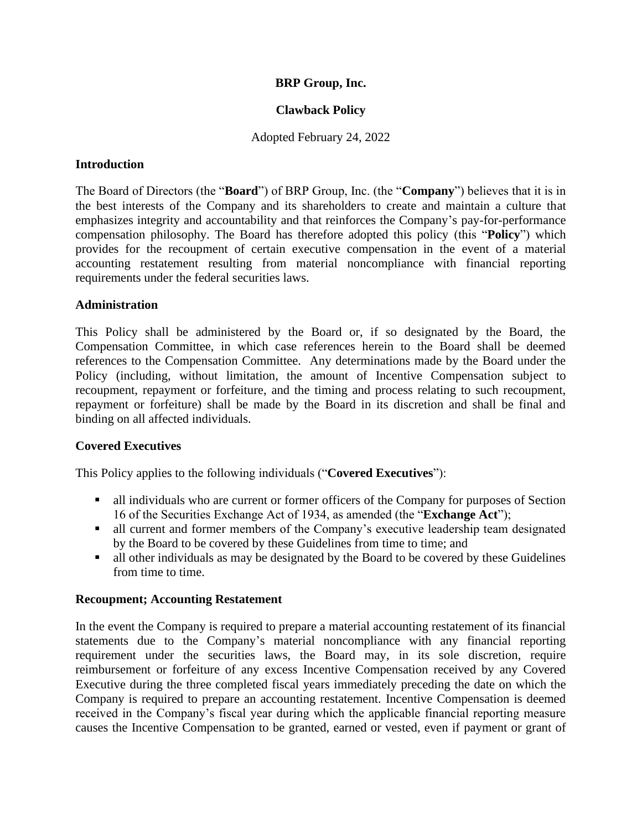# **BRP Group, Inc.**

# **Clawback Policy**

Adopted February 24, 2022

## **Introduction**

The Board of Directors (the "**Board**") of BRP Group, Inc. (the "**Company**") believes that it is in the best interests of the Company and its shareholders to create and maintain a culture that emphasizes integrity and accountability and that reinforces the Company's pay-for-performance compensation philosophy. The Board has therefore adopted this policy (this "**Policy**") which provides for the recoupment of certain executive compensation in the event of a material accounting restatement resulting from material noncompliance with financial reporting requirements under the federal securities laws.

## **Administration**

This Policy shall be administered by the Board or, if so designated by the Board, the Compensation Committee, in which case references herein to the Board shall be deemed references to the Compensation Committee. Any determinations made by the Board under the Policy (including, without limitation, the amount of Incentive Compensation subject to recoupment, repayment or forfeiture, and the timing and process relating to such recoupment, repayment or forfeiture) shall be made by the Board in its discretion and shall be final and binding on all affected individuals.

## **Covered Executives**

This Policy applies to the following individuals ("**Covered Executives**"):

- all individuals who are current or former officers of the Company for purposes of Section 16 of the Securities Exchange Act of 1934, as amended (the "**Exchange Act**");
- all current and former members of the Company's executive leadership team designated by the Board to be covered by these Guidelines from time to time; and
- all other individuals as may be designated by the Board to be covered by these Guidelines from time to time.

## **Recoupment; Accounting Restatement**

In the event the Company is required to prepare a material accounting restatement of its financial statements due to the Company's material noncompliance with any financial reporting requirement under the securities laws, the Board may, in its sole discretion, require reimbursement or forfeiture of any excess Incentive Compensation received by any Covered Executive during the three completed fiscal years immediately preceding the date on which the Company is required to prepare an accounting restatement. Incentive Compensation is deemed received in the Company's fiscal year during which the applicable financial reporting measure causes the Incentive Compensation to be granted, earned or vested, even if payment or grant of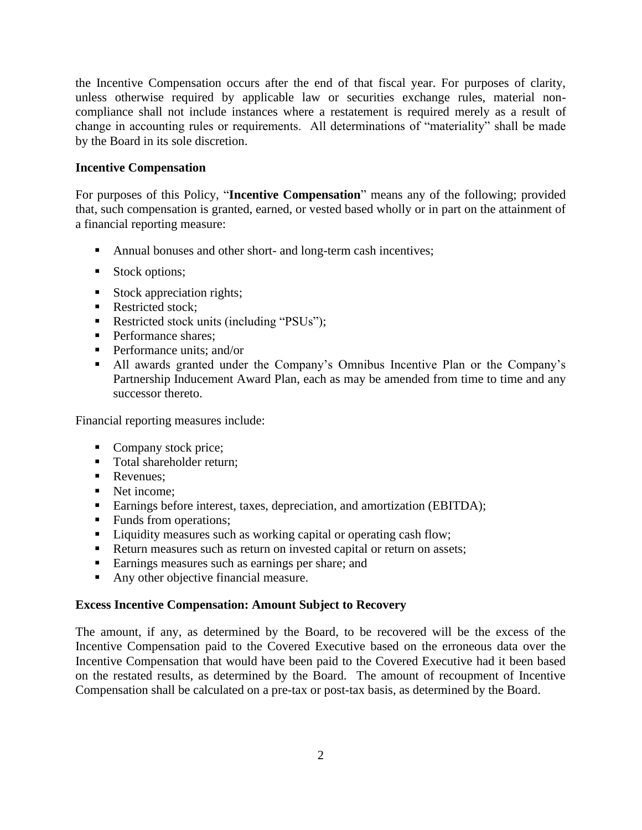the Incentive Compensation occurs after the end of that fiscal year. For purposes of clarity, unless otherwise required by applicable law or securities exchange rules, material noncompliance shall not include instances where a restatement is required merely as a result of change in accounting rules or requirements. All determinations of "materiality" shall be made by the Board in its sole discretion.

# **Incentive Compensation**

For purposes of this Policy, "**Incentive Compensation**" means any of the following; provided that, such compensation is granted, earned, or vested based wholly or in part on the attainment of a financial reporting measure:

- Annual bonuses and other short- and long-term cash incentives;
- Stock options;
- Stock appreciation rights;
- Restricted stock;
- Restricted stock units (including "PSUs");
- Performance shares;
- $\blacksquare$  Performance units: and/or
- All awards granted under the Company's Omnibus Incentive Plan or the Company's Partnership Inducement Award Plan, each as may be amended from time to time and any successor thereto.

Financial reporting measures include:

- Company stock price;
- Total shareholder return;
- Revenues:
- Net income;
- **Earnings before interest, taxes, depreciation, and amortization (EBITDA);**
- Funds from operations;
- Liquidity measures such as working capital or operating cash flow;
- Return measures such as return on invested capital or return on assets;
- Earnings measures such as earnings per share; and
- Any other objective financial measure.

## **Excess Incentive Compensation: Amount Subject to Recovery**

The amount, if any, as determined by the Board, to be recovered will be the excess of the Incentive Compensation paid to the Covered Executive based on the erroneous data over the Incentive Compensation that would have been paid to the Covered Executive had it been based on the restated results, as determined by the Board. The amount of recoupment of Incentive Compensation shall be calculated on a pre-tax or post-tax basis, as determined by the Board.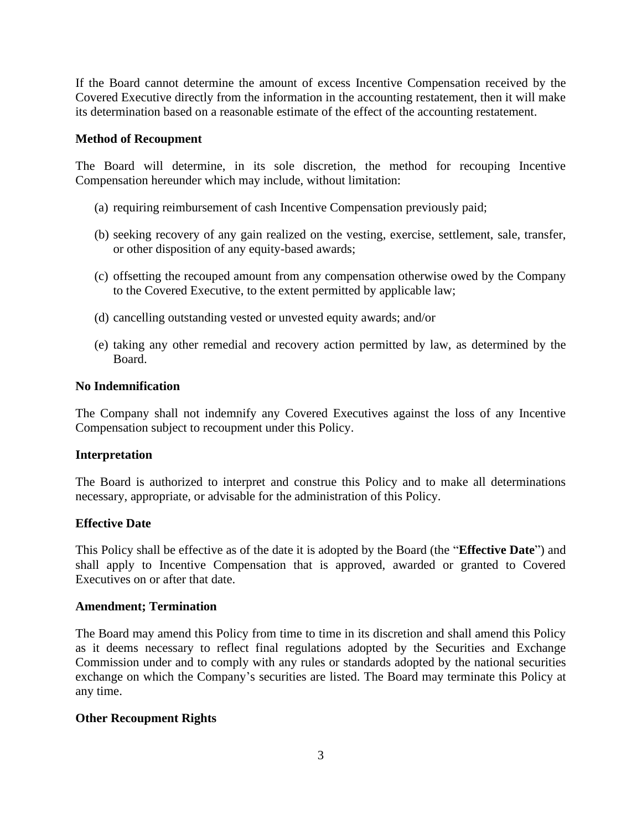If the Board cannot determine the amount of excess Incentive Compensation received by the Covered Executive directly from the information in the accounting restatement, then it will make its determination based on a reasonable estimate of the effect of the accounting restatement.

### **Method of Recoupment**

The Board will determine, in its sole discretion, the method for recouping Incentive Compensation hereunder which may include, without limitation:

- (a) requiring reimbursement of cash Incentive Compensation previously paid;
- (b) seeking recovery of any gain realized on the vesting, exercise, settlement, sale, transfer, or other disposition of any equity-based awards;
- (c) offsetting the recouped amount from any compensation otherwise owed by the Company to the Covered Executive, to the extent permitted by applicable law;
- (d) cancelling outstanding vested or unvested equity awards; and/or
- (e) taking any other remedial and recovery action permitted by law, as determined by the Board.

## **No Indemnification**

The Company shall not indemnify any Covered Executives against the loss of any Incentive Compensation subject to recoupment under this Policy.

### **Interpretation**

The Board is authorized to interpret and construe this Policy and to make all determinations necessary, appropriate, or advisable for the administration of this Policy.

## **Effective Date**

This Policy shall be effective as of the date it is adopted by the Board (the "**Effective Date**") and shall apply to Incentive Compensation that is approved, awarded or granted to Covered Executives on or after that date.

### **Amendment; Termination**

The Board may amend this Policy from time to time in its discretion and shall amend this Policy as it deems necessary to reflect final regulations adopted by the Securities and Exchange Commission under and to comply with any rules or standards adopted by the national securities exchange on which the Company's securities are listed. The Board may terminate this Policy at any time.

## **Other Recoupment Rights**